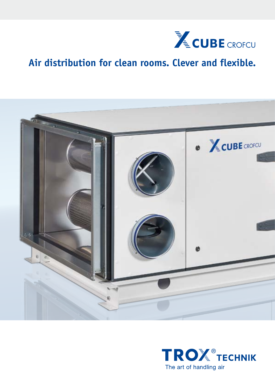

# **Air distribution for clean rooms. Clever and flexible.**



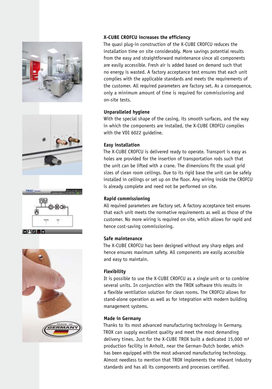







#### **X-CUBE CROFCU increases the efficiency**

The quasi plug-in construction of the X-CUBE CROFCU reduces the installation time on site considerably. More savings potential results from the easy and straightforward maintenance since all components are easily accessible. Fresh air is added based on demand such that no energy is wasted. A factory acceptance test ensures that each unit complies with the applicable standards and meets the requirements of the customer. All required parameters are factory set. As a consequence, only a minimum amount of time is required for commissioning and on-site tests.

# **Unparalleled hygiene**

With the special shape of the casing, its smooth surfaces, and the way in which the components are installed, the X-CUBE CROFCU complies with the VDI 6022 guideline.

# **Easy installation**

The X-CUBE CROFCU is delivered ready to operate. Transport is easy as holes are provided for the insertion of transportation rods such that the unit can be lifted with a crane. The dimensions fit the usual grid sizes of clean room ceilings. Due to its rigid base the unit can be safely installed in ceilings or set up on the floor. Any wiring inside the CROFCU is already complete and need not be performed on site.

# **Rapid commissioning**

All required parameters are factory set. A factory acceptance test ensures that each unit meets the normative requirements as well as those of the customer. No more wiring is required on site, which allows for rapid and hence cost-saving commissioning.

# **Safe maintenance**

The X-CUBE CROFCU has been designed without any sharp edges and hence ensures maximum safety. All components are easily accessible and easy to maintain.

# **Flexibility**

It is possible to use the X-CUBE CROFCU as a single unit or to combine several units. In conjunction with the TROX software this results in a flexible ventilation solution for clean rooms. The CROFCU allows for stand-alone operation as well as for integration with modern building management systems.

#### **Made in Germany**

Thanks to its most advanced manufacturing technology in Germany, TROX can supply excellent quality and meet the most demanding delivery times. Just for the X-CUBE TROX built a dedicated 15,000 m² production facility in Anholt, near the German-Dutch border, which has been equipped with the most advanced manufacturing technology. Almost needless to mention that TROX implements the relevant industry standards and has all its components and processes certified.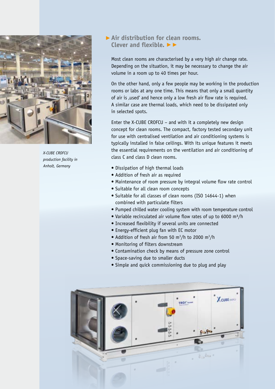

*X-CUBE CROFCU production facility in Anholt, Germany*

# **Air distribution for clean rooms.**  ▶ Clever and flexible. ▶▶

Most clean rooms are characterised by a very high air change rate. Depending on the situation, it may be necessary to change the air volume in a room up to 40 times per hour.

On the other hand, only a few people may be working in the production rooms or labs at any one time. This means that only a small quantity of air is , used' and hence only a low fresh air flow rate is required. A similar case are thermal loads, which need to be dissipated only in selected spots.

Enter the X-CUBE CROFCU – and with it a completely new design concept for clean rooms. The compact, factory tested secondary unit for use with centralised ventilation and air conditioning systems is typically installed in false ceilings. With its unique features it meets the essential requirements on the ventilation and air conditioning of class C and class D clean rooms.

- Dissipation of high thermal loads
- Addition of fresh air as required
- Maintenance of room pressure by integral volume flow rate control
- Suitable for all clean room concepts
- Suitable for all classes of clean rooms (ISO 14644-1) when combined with particulate filters
- Pumped chilled water cooling system with room temperature control
- Variable recirculated air volume flow rates of up to 6000 m³/h
- Increased flexibility if several units are connected
- Energy-efficient plug fan with EC motor
- Addition of fresh air from 50 m<sup>3</sup>/h to 2000 m<sup>3</sup>/h
- Monitoring of filters downstream
- Contamination check by means of pressure zone control
- Space-saving due to smaller ducts
- Simple and quick commissioning due to plug and play

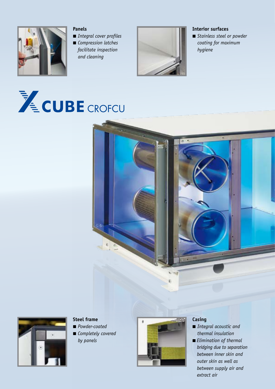

#### **Panels**

- ■ *Integral cover profiles*
- *Compression latches*
- *facilitate inspection and cleaning*



## **Interior surfaces**

■ *Stainless steel or powder coating for maximum hygiene*





# **Steel frame**

- ■ *Powder-coated*
- *Completely covered by panels*



## **Casing**

- *Integral acoustic and thermal insulation*
- *Elimination of thermal bridging due to separation between inner skin and outer skin as well as between supply air and extract air*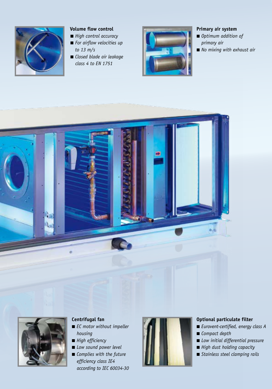

# **Volume flow control**

- *High control accuracy*
- *For airflow velocities up to 13 m/s*
- *Closed blade air leakage class 4 to EN 1751*



## **Primary air system**

- *Optimum addition of primary air*
- *No mixing with exhaust air*





# **Centrifugal fan**

- *EC motor without impeller housing*
- ■ *High efficiency*
- *Low sound power level* ■ *Complies with the future* 
	- *efficiency class IE4 according to IEC 60034-30*



### **Optional particulate filter**

- ■ *Eurovent-certified, energy class A*
- *Compact depth*
- ■ *Low initial differential pressure*
- *High dust holding capacity*
- *Stainless steel clamping rails*